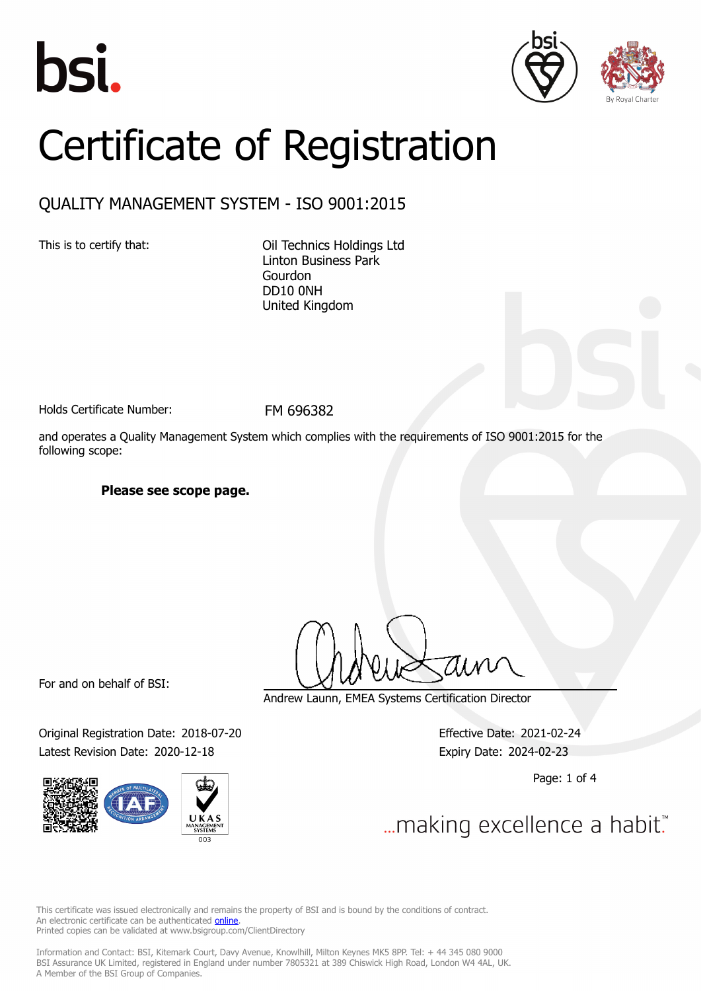





# Certificate of Registration

### QUALITY MANAGEMENT SYSTEM - ISO 9001:2015

This is to certify that: Oil Technics Holdings Ltd Linton Business Park Gourdon DD10 0NH United Kingdom

Holds Certificate Number: FM 696382

and operates a Quality Management System which complies with the requirements of ISO 9001:2015 for the following scope:

**Please see scope page.**

For and on behalf of BSI:

Original Registration Date: 2018-07-20 Effective Date: 2021-02-24 Latest Revision Date: 2020-12-18 Expiry Date: 2024-02-23



Andrew Launn, EMEA Systems Certification Director

Page: 1 of 4

... making excellence a habit."

This certificate was issued electronically and remains the property of BSI and is bound by the conditions of contract. An electronic certificate can be authenticated **[online](https://pgplus.bsigroup.com/CertificateValidation/CertificateValidator.aspx?CertificateNumber=FM+696382&ReIssueDate=18%2f12%2f2020&Template=uk)**. Printed copies can be validated at www.bsigroup.com/ClientDirectory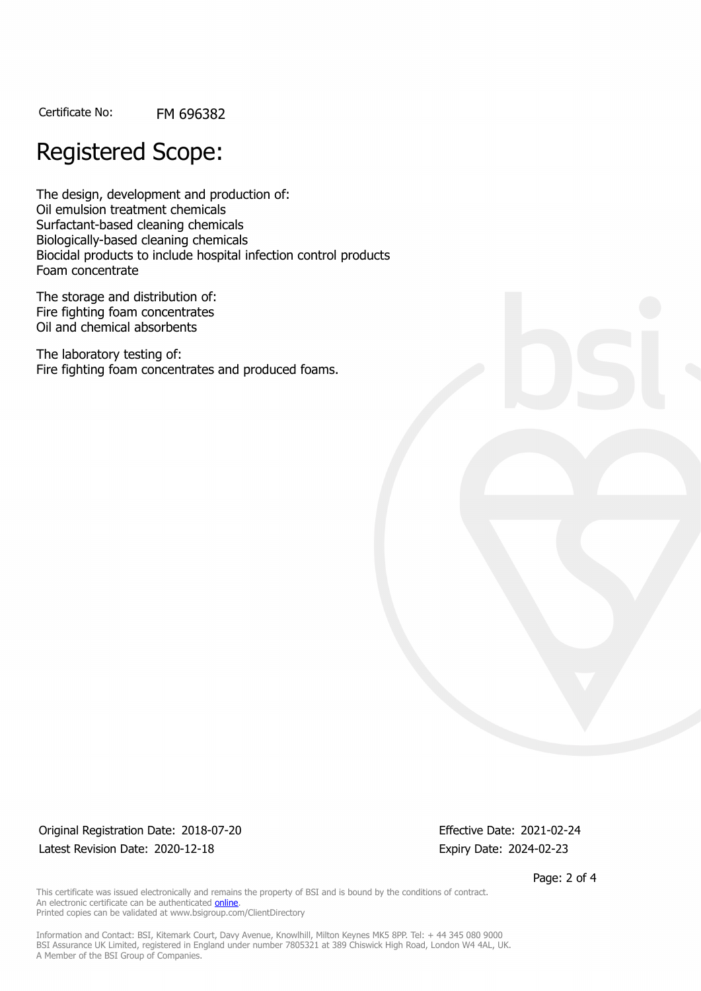Certificate No: FM 696382

## Registered Scope:

The design, development and production of: Oil emulsion treatment chemicals Surfactant-based cleaning chemicals Biologically-based cleaning chemicals Biocidal products to include hospital infection control products Foam concentrate

The storage and distribution of: Fire fighting foam concentrates Oil and chemical absorbents

The laboratory testing of: Fire fighting foam concentrates and produced foams.

Original Registration Date: 2018-07-20 Effective Date: 2021-02-24 Latest Revision Date: 2020-12-18 Expiry Date: 2024-02-23

Page: 2 of 4

This certificate was issued electronically and remains the property of BSI and is bound by the conditions of contract. An electronic certificate can be authenticated **[online](https://pgplus.bsigroup.com/CertificateValidation/CertificateValidator.aspx?CertificateNumber=FM+696382&ReIssueDate=18%2f12%2f2020&Template=uk)**. Printed copies can be validated at www.bsigroup.com/ClientDirectory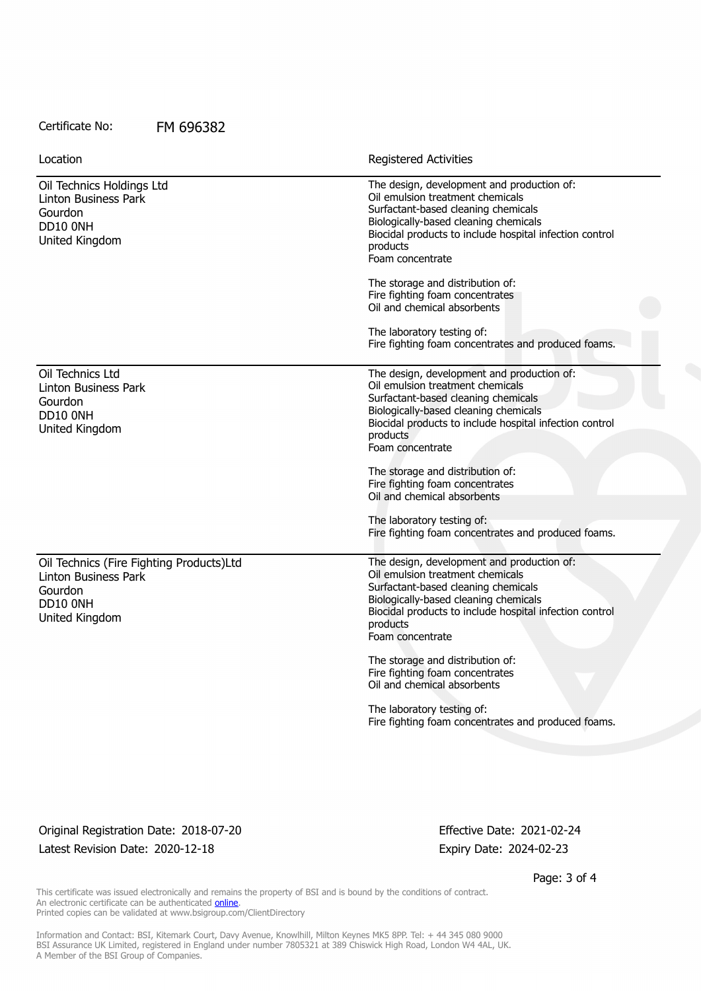#### Certificate No: FM 696382

| Location                                                                                                  | <b>Registered Activities</b>                                                                                                                                                                                                                                                                                                                                    |
|-----------------------------------------------------------------------------------------------------------|-----------------------------------------------------------------------------------------------------------------------------------------------------------------------------------------------------------------------------------------------------------------------------------------------------------------------------------------------------------------|
| Oil Technics Holdings Ltd<br>Linton Business Park<br>Gourdon<br>DD10 ONH<br>United Kingdom                | The design, development and production of:<br>Oil emulsion treatment chemicals<br>Surfactant-based cleaning chemicals<br>Biologically-based cleaning chemicals<br>Biocidal products to include hospital infection control<br>products<br>Foam concentrate                                                                                                       |
|                                                                                                           | The storage and distribution of:<br>Fire fighting foam concentrates<br>Oil and chemical absorbents                                                                                                                                                                                                                                                              |
|                                                                                                           | The laboratory testing of:<br>Fire fighting foam concentrates and produced foams.                                                                                                                                                                                                                                                                               |
| Oil Technics Ltd<br>Linton Business Park<br>Gourdon<br>DD10 ONH<br>United Kingdom                         | The design, development and production of:<br>Oil emulsion treatment chemicals<br>Surfactant-based cleaning chemicals<br>Biologically-based cleaning chemicals<br>Biocidal products to include hospital infection control<br>products<br>Foam concentrate                                                                                                       |
|                                                                                                           | The storage and distribution of:<br>Fire fighting foam concentrates<br>Oil and chemical absorbents                                                                                                                                                                                                                                                              |
|                                                                                                           | The laboratory testing of:<br>Fire fighting foam concentrates and produced foams.                                                                                                                                                                                                                                                                               |
| Oil Technics (Fire Fighting Products)Ltd<br>Linton Business Park<br>Gourdon<br>DD10 ONH<br>United Kingdom | The design, development and production of:<br>Oil emulsion treatment chemicals<br>Surfactant-based cleaning chemicals<br>Biologically-based cleaning chemicals<br>Biocidal products to include hospital infection control<br>products<br>Foam concentrate<br>The storage and distribution of:<br>Fire fighting foam concentrates<br>Oil and chemical absorbents |
|                                                                                                           | The laboratory testing of:<br>Fire fighting foam concentrates and produced foams.                                                                                                                                                                                                                                                                               |
|                                                                                                           |                                                                                                                                                                                                                                                                                                                                                                 |

Original Registration Date: 2018-07-20 Effective Date: 2021-02-24 Latest Revision Date: 2020-12-18 Expiry Date: 2024-02-23

Page: 3 of 4

This certificate was issued electronically and remains the property of BSI and is bound by the conditions of contract. An electronic certificate can be authenticated **[online](https://pgplus.bsigroup.com/CertificateValidation/CertificateValidator.aspx?CertificateNumber=FM+696382&ReIssueDate=18%2f12%2f2020&Template=uk)**. Printed copies can be validated at www.bsigroup.com/ClientDirectory